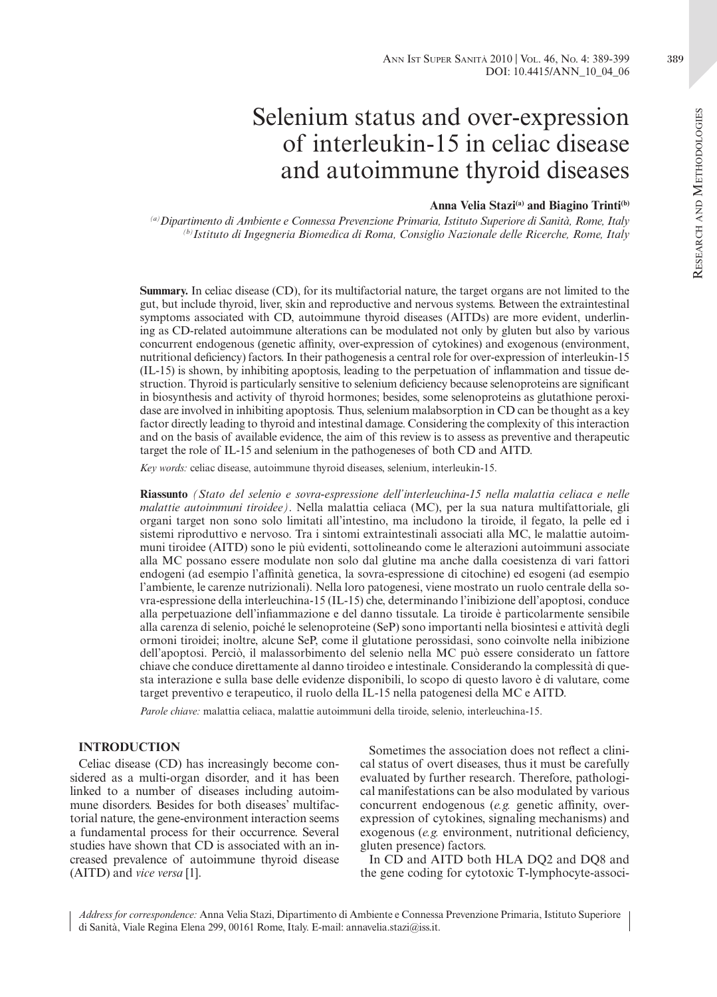#### Ann Ist Super Sanità 2010 | Vol. 46, No. 4: 389-399 389 DOI: 10.4415/ANN\_10\_04\_06

# Selenium status and over-expression of interleukin-15 in celiac disease and autoimmune thyroid diseases

# Anna Velia Stazi<sup>(a)</sup> and Biagino Trinti<sup>(b)</sup>

*(a)Dipartimento di Ambiente e Connessa Prevenzione Primaria, Istituto Superiore di Sanità, Rome, Italy (b)Istituto di Ingegneria Biomedica di Roma, Consiglio Nazionale delle Ricerche, Rome, Italy*

**Summary.** In celiac disease (CD), for its multifactorial nature, the target organs are not limited to the gut, but include thyroid, liver, skin and reproductive and nervous systems. Between the extraintestinal symptoms associated with CD, autoimmune thyroid diseases (AITDs) are more evident, underlining as CD-related autoimmune alterations can be modulated not only by gluten but also by various concurrent endogenous (genetic affinity, over-expression of cytokines) and exogenous (environment, nutritional deficiency) factors. In their pathogenesis a central role for over-expression of interleukin-15 (IL-15) is shown, by inhibiting apoptosis, leading to the perpetuation of inflammation and tissue destruction. Thyroid is particularly sensitive to selenium deficiency because selenoproteins are significant in biosynthesis and activity of thyroid hormones; besides, some selenoproteins as glutathione peroxidase are involved in inhibiting apoptosis. Thus, selenium malabsorption in CD can be thought as a key factor directly leading to thyroid and intestinal damage. Considering the complexity of this interaction and on the basis of available evidence, the aim of this review is to assess as preventive and therapeutic target the role of IL-15 and selenium in the pathogeneses of both CD and AITD.

*Key words:* celiac disease, autoimmune thyroid diseases, selenium, interleukin-15.

**Riassunto** *(Stato del selenio e sovra-espressione dell'interleuchina-15 nella malattia celiaca e nelle malattie autoimmuni tiroidee)*. Nella malattia celiaca (MC), per la sua natura multifattoriale, gli organi target non sono solo limitati all'intestino, ma includono la tiroide, il fegato, la pelle ed i sistemi riproduttivo e nervoso. Tra i sintomi extraintestinali associati alla MC, le malattie autoimmuni tiroidee (AITD) sono le più evidenti, sottolineando come le alterazioni autoimmuni associate alla MC possano essere modulate non solo dal glutine ma anche dalla coesistenza di vari fattori endogeni (ad esempio l'affinità genetica, la sovra-espressione di citochine) ed esogeni (ad esempio l'ambiente, le carenze nutrizionali). Nella loro patogenesi, viene mostrato un ruolo centrale della sovra-espressione della interleuchina-15 (IL-15) che, determinando l'inibizione dell'apoptosi, conduce alla perpetuazione dell'infiammazione e del danno tissutale. La tiroide è particolarmente sensibile alla carenza di selenio, poiché le selenoproteine (SeP) sono importanti nella biosintesi e attività degli ormoni tiroidei; inoltre, alcune SeP, come il glutatione perossidasi, sono coinvolte nella inibizione dell'apoptosi. Perciò, il malassorbimento del selenio nella MC può essere considerato un fattore chiave che conduce direttamente al danno tiroideo e intestinale. Considerando la complessità di questa interazione e sulla base delle evidenze disponibili, lo scopo di questo lavoro è di valutare, come target preventivo e terapeutico, il ruolo della IL-15 nella patogenesi della MC e AITD.

*Parole chiave:* malattia celiaca, malattie autoimmuni della tiroide, selenio, interleuchina-15.

### **INTRODUCTION**

Celiac disease (CD) has increasingly become considered as a multi-organ disorder, and it has been linked to a number of diseases including autoimmune disorders. Besides for both diseases' multifactorial nature, the gene-environment interaction seems a fundamental process for their occurrence. Several studies have shown that CD is associated with an increased prevalence of autoimmune thyroid disease (AITD) and *vice versa* [1].

Sometimes the association does not reflect a clinical status of overt diseases, thus it must be carefully evaluated by further research. Therefore, pathological manifestations can be also modulated by various concurrent endogenous (*e.g.* genetic affinity, overexpression of cytokines, signaling mechanisms) and exogenous (*e.g.* environment, nutritional deficiency, gluten presence) factors.

In CD and AITD both HLA DQ2 and DQ8 and the gene coding for cytotoxic T-lymphocyte-associ-

*Address for correspondence:* Anna Velia Stazi, Dipartimento di Ambiente e Connessa Prevenzione Primaria, Istituto Superiore di Sanità, Viale Regina Elena 299, 00161 Rome, Italy. E-mail: annavelia.stazi@iss.it.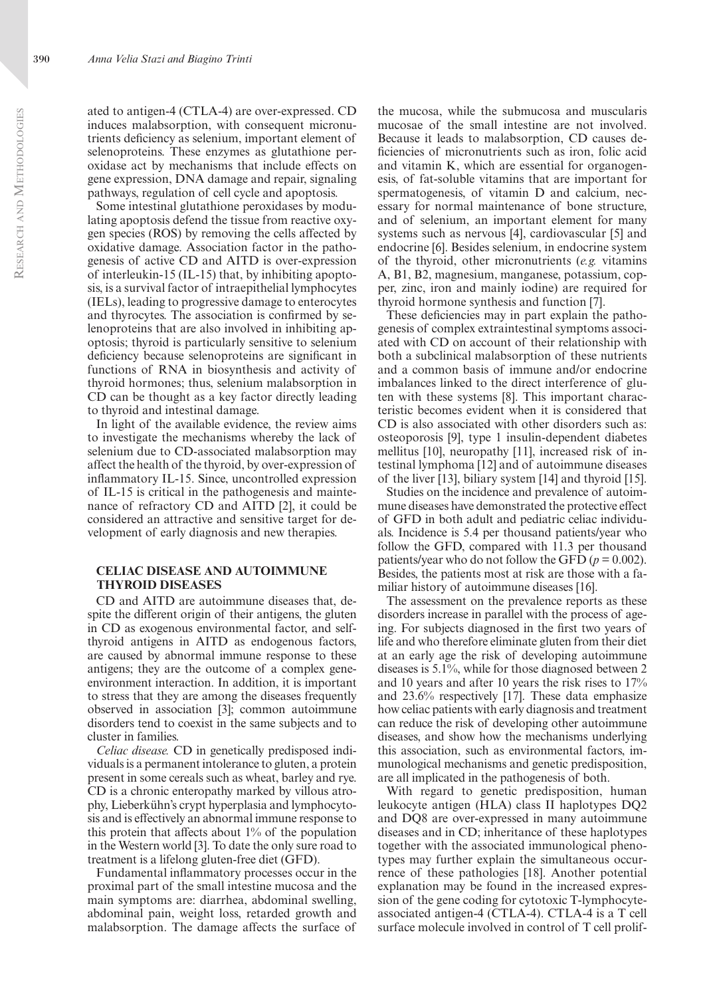ated to antigen-4 (CTLA-4) are over-expressed. CD induces malabsorption, with consequent micronutrients deficiency as selenium, important element of selenoproteins. These enzymes as glutathione peroxidase act by mechanisms that include effects on gene expression, DNA damage and repair, signaling pathways, regulation of cell cycle and apoptosis.

Some intestinal glutathione peroxidases by modulating apoptosis defend the tissue from reactive oxygen species (ROS) by removing the cells affected by oxidative damage. Association factor in the pathogenesis of active CD and AITD is over-expression of interleukin-15 (IL-15) that, by inhibiting apoptosis, is a survival factor of intraepithelial lymphocytes (IELs), leading to progressive damage to enterocytes and thyrocytes. The association is confirmed by selenoproteins that are also involved in inhibiting apoptosis; thyroid is particularly sensitive to selenium deficiency because selenoproteins are significant in functions of RNA in biosynthesis and activity of thyroid hormones; thus, selenium malabsorption in CD can be thought as a key factor directly leading to thyroid and intestinal damage.

In light of the available evidence, the review aims to investigate the mechanisms whereby the lack of selenium due to CD-associated malabsorption may affect the health of the thyroid, by over-expression of inflammatory IL-15. Since, uncontrolled expression of IL-15 is critical in the pathogenesis and maintenance of refractory CD and AITD [2], it could be considered an attractive and sensitive target for development of early diagnosis and new therapies.

## **Celiac disease and autoimmune thyroid diseases**

CD and AITD are autoimmune diseases that, despite the different origin of their antigens, the gluten in CD as exogenous environmental factor, and selfthyroid antigens in AITD as endogenous factors, are caused by abnormal immune response to these antigens; they are the outcome of a complex geneenvironment interaction. In addition, it is important to stress that they are among the diseases frequently observed in association [3]; common autoimmune disorders tend to coexist in the same subjects and to cluster in families.

*Celiac disease.* CD in genetically predisposed individuals is a permanent intolerance to gluten, a protein present in some cereals such as wheat, barley and rye. CD is a chronic enteropathy marked by villous atrophy, Lieberkühn's crypt hyperplasia and lymphocytosis and is effectively an abnormal immune response to this protein that affects about 1% of the population in the Western world [3]. To date the only sure road to treatment is a lifelong gluten-free diet (GFD).

Fundamental inflammatory processes occur in the proximal part of the small intestine mucosa and the main symptoms are: diarrhea, abdominal swelling, abdominal pain, weight loss, retarded growth and malabsorption. The damage affects the surface of

the mucosa, while the submucosa and muscularis mucosae of the small intestine are not involved. Because it leads to malabsorption, CD causes deficiencies of micronutrients such as iron, folic acid and vitamin K, which are essential for organogenesis, of fat-soluble vitamins that are important for spermatogenesis, of vitamin D and calcium, necessary for normal maintenance of bone structure, and of selenium, an important element for many systems such as nervous [4], cardiovascular [5] and endocrine [6]. Besides selenium, in endocrine system of the thyroid, other micronutrients (*e.g.* vitamins A, B1, B2, magnesium, manganese, potassium, copper, zinc, iron and mainly iodine) are required for thyroid hormone synthesis and function [7].

These deficiencies may in part explain the pathogenesis of complex extraintestinal symptoms associated with CD on account of their relationship with both a subclinical malabsorption of these nutrients and a common basis of immune and/or endocrine imbalances linked to the direct interference of gluten with these systems [8]. This important characteristic becomes evident when it is considered that CD is also associated with other disorders such as: osteoporosis [9], type 1 insulin-dependent diabetes mellitus [10], neuropathy [11], increased risk of intestinal lymphoma [12] and of autoimmune diseases of the liver [13], biliary system [14] and thyroid [15].

Studies on the incidence and prevalence of autoimmune diseases have demonstrated the protective effect of GFD in both adult and pediatric celiac individuals. Incidence is 5.4 per thousand patients/year who follow the GFD, compared with 11.3 per thousand patients/year who do not follow the GFD  $(p = 0.002)$ . Besides, the patients most at risk are those with a familiar history of autoimmune diseases [16].

The assessment on the prevalence reports as these disorders increase in parallel with the process of ageing. For subjects diagnosed in the first two years of life and who therefore eliminate gluten from their diet at an early age the risk of developing autoimmune diseases is 5.1%, while for those diagnosed between 2 and 10 years and after 10 years the risk rises to 17% and 23.6% respectively [17]. These data emphasize how celiac patients with early diagnosis and treatment can reduce the risk of developing other autoimmune diseases, and show how the mechanisms underlying this association, such as environmental factors, immunological mechanisms and genetic predisposition, are all implicated in the pathogenesis of both.

With regard to genetic predisposition, human leukocyte antigen (HLA) class II haplotypes DQ2 and DQ8 are over-expressed in many autoimmune diseases and in CD; inheritance of these haplotypes together with the associated immunological phenotypes may further explain the simultaneous occurrence of these pathologies [18]. Another potential explanation may be found in the increased expression of the gene coding for cytotoxic T-lymphocyteassociated antigen-4 (CTLA-4). CTLA-4 is a T cell surface molecule involved in control of T cell prolif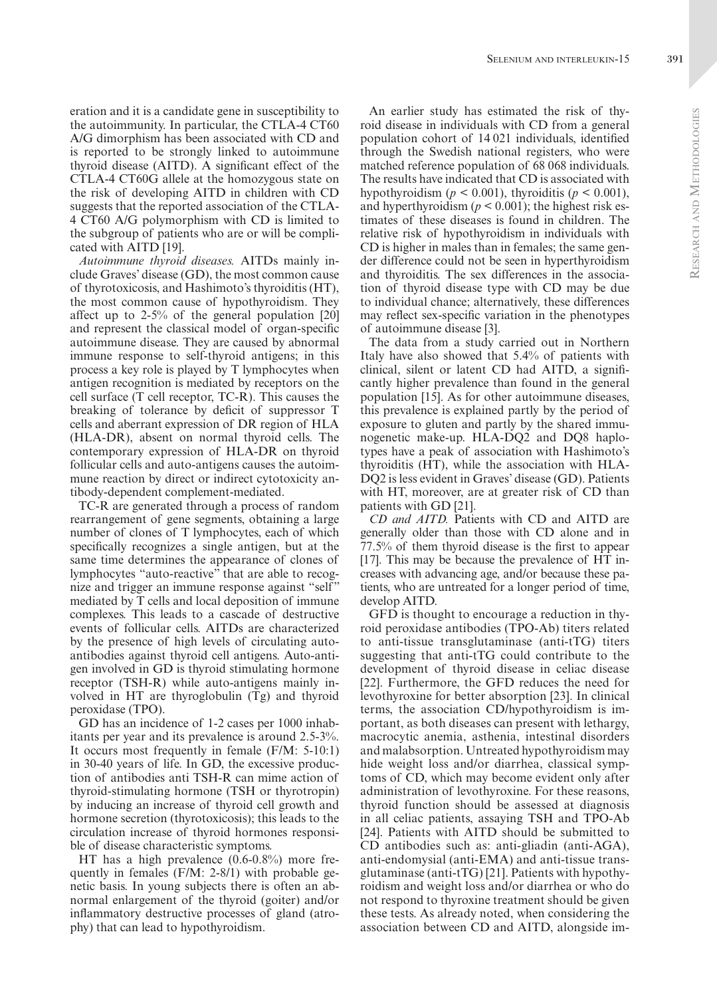eration and it is a candidate gene in susceptibility to the autoimmunity. In particular, the CTLA-4 CT60 A/G dimorphism has been associated with CD and is reported to be strongly linked to autoimmune thyroid disease (AITD). A significant effect of the CTLA-4 CT60G allele at the homozygous state on the risk of developing AITD in children with CD suggests that the reported association of the CTLA-4 CT60 A/G polymorphism with CD is limited to the subgroup of patients who are or will be complicated with AITD [19].

*Autoimmune thyroid diseases.* AITDs mainly include Graves' disease (GD), the most common cause of thyrotoxicosis, and Hashimoto's thyroiditis (HT), the most common cause of hypothyroidism. They affect up to 2-5% of the general population [20] and represent the classical model of organ-specific autoimmune disease. They are caused by abnormal immune response to self-thyroid antigens; in this process a key role is played by T lymphocytes when antigen recognition is mediated by receptors on the cell surface (T cell receptor, TC-R). This causes the breaking of tolerance by deficit of suppressor T cells and aberrant expression of DR region of HLA (HLA-DR), absent on normal thyroid cells. The contemporary expression of HLA-DR on thyroid follicular cells and auto-antigens causes the autoimmune reaction by direct or indirect cytotoxicity antibody-dependent complement-mediated.

TC-R are generated through a process of random rearrangement of gene segments, obtaining a large number of clones of T lymphocytes, each of which specifically recognizes a single antigen, but at the same time determines the appearance of clones of lymphocytes "auto-reactive" that are able to recognize and trigger an immune response against "self" mediated by T cells and local deposition of immune complexes. This leads to a cascade of destructive events of follicular cells. AITDs are characterized by the presence of high levels of circulating autoantibodies against thyroid cell antigens. Auto-antigen involved in GD is thyroid stimulating hormone receptor (TSH-R) while auto-antigens mainly involved in HT are thyroglobulin (Tg) and thyroid peroxidase (TPO).

GD has an incidence of 1-2 cases per 1000 inhabitants per year and its prevalence is around 2.5-3%. It occurs most frequently in female (F/M: 5-10:1) in 30-40 years of life. In GD, the excessive production of antibodies anti TSH-R can mime action of thyroid-stimulating hormone (TSH or thyrotropin) by inducing an increase of thyroid cell growth and hormone secretion (thyrotoxicosis); this leads to the circulation increase of thyroid hormones responsible of disease characteristic symptoms.

HT has a high prevalence (0.6-0.8%) more frequently in females (F/M: 2-8/1) with probable genetic basis. In young subjects there is often an abnormal enlargement of the thyroid (goiter) and/or inflammatory destructive processes of gland (atrophy) that can lead to hypothyroidism.

An earlier study has estimated the risk of thyroid disease in individuals with CD from a general population cohort of 14 021 individuals, identified through the Swedish national registers, who were matched reference population of 68 068 individuals. The results have indicated that CD is associated with hypothyroidism ( $p < 0.001$ ), thyroiditis ( $p < 0.001$ ), and hyperthyroidism  $(p < 0.001)$ ; the highest risk estimates of these diseases is found in children. The relative risk of hypothyroidism in individuals with CD is higher in males than in females; the same gender difference could not be seen in hyperthyroidism and thyroiditis. The sex differences in the association of thyroid disease type with CD may be due to individual chance; alternatively, these differences may reflect sex-specific variation in the phenotypes of autoimmune disease [3].

The data from a study carried out in Northern Italy have also showed that 5.4% of patients with clinical, silent or latent CD had AITD, a significantly higher prevalence than found in the general population [15]. As for other autoimmune diseases, this prevalence is explained partly by the period of exposure to gluten and partly by the shared immunogenetic make-up. HLA-DQ2 and DQ8 haplotypes have a peak of association with Hashimoto's thyroiditis (HT), while the association with HLA-DQ2 is less evident in Graves' disease (GD). Patients with HT, moreover, are at greater risk of CD than patients with GD [21].

*CD and AITD.* Patients with CD and AITD are generally older than those with CD alone and in 77.5% of them thyroid disease is the first to appear [17]. This may be because the prevalence of HT increases with advancing age, and/or because these patients, who are untreated for a longer period of time, develop AITD.

GFD is thought to encourage a reduction in thyroid peroxidase antibodies (TPO-Ab) titers related to anti-tissue transglutaminase (anti-tTG) titers suggesting that anti-tTG could contribute to the development of thyroid disease in celiac disease [22]. Furthermore, the GFD reduces the need for levothyroxine for better absorption [23]. In clinical terms, the association CD/hypothyroidism is important, as both diseases can present with lethargy, macrocytic anemia, asthenia, intestinal disorders and malabsorption. Untreated hypothyroidism may hide weight loss and/or diarrhea, classical symptoms of CD, which may become evident only after administration of levothyroxine. For these reasons, thyroid function should be assessed at diagnosis in all celiac patients, assaying TSH and TPO-Ab [24]. Patients with AITD should be submitted to CD antibodies such as: anti-gliadin (anti-AGA), anti-endomysial (anti-EMA) and anti-tissue transglutaminase (anti-tTG) [21]. Patients with hypothyroidism and weight loss and/or diarrhea or who do not respond to thyroxine treatment should be given these tests. As already noted, when considering the association between CD and AITD, alongside im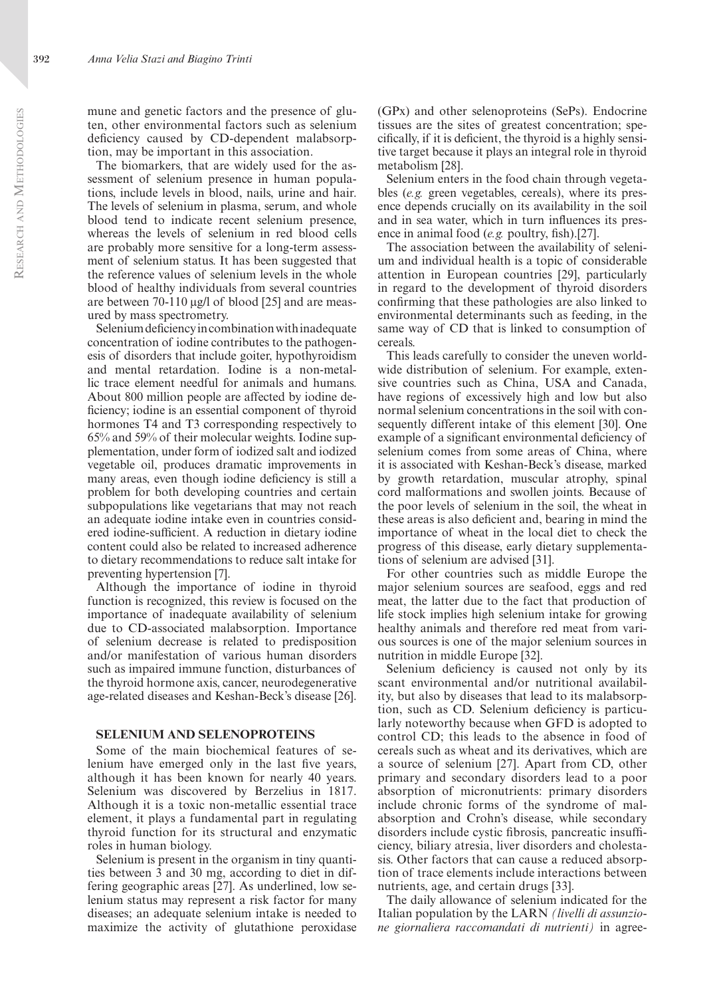mune and genetic factors and the presence of gluten, other environmental factors such as selenium deficiency caused by CD-dependent malabsorption, may be important in this association.

The biomarkers, that are widely used for the assessment of selenium presence in human populations, include levels in blood, nails, urine and hair. The levels of selenium in plasma, serum, and whole blood tend to indicate recent selenium presence, whereas the levels of selenium in red blood cells are probably more sensitive for a long-term assessment of selenium status. It has been suggested that the reference values of selenium levels in the whole blood of healthy individuals from several countries are between 70-110 μg/l of blood [25] and are measured by mass spectrometry.

Selenium deficiency in combination with inadequate concentration of iodine contributes to the pathogenesis of disorders that include goiter, hypothyroidism and mental retardation. Iodine is a non-metallic trace element needful for animals and humans. About 800 million people are affected by iodine deficiency; iodine is an essential component of thyroid hormones T4 and T3 corresponding respectively to 65% and 59% of their molecular weights. Iodine supplementation, under form of iodized salt and iodized vegetable oil, produces dramatic improvements in many areas, even though iodine deficiency is still a problem for both developing countries and certain subpopulations like vegetarians that may not reach an adequate iodine intake even in countries considered iodine-sufficient. A reduction in dietary iodine content could also be related to increased adherence to dietary recommendations to reduce salt intake for preventing hypertension [7].

Although the importance of iodine in thyroid function is recognized, this review is focused on the importance of inadequate availability of selenium due to CD-associated malabsorption. Importance of selenium decrease is related to predisposition and/or manifestation of various human disorders such as impaired immune function, disturbances of the thyroid hormone axis, cancer, neurodegenerative age-related diseases and Keshan-Beck's disease [26].

#### **Selenium and selenoproteins**

Some of the main biochemical features of selenium have emerged only in the last five years, although it has been known for nearly 40 years. Selenium was discovered by Berzelius in 1817. Although it is a toxic non-metallic essential trace element, it plays a fundamental part in regulating thyroid function for its structural and enzymatic roles in human biology.

Selenium is present in the organism in tiny quantities between 3 and 30 mg, according to diet in differing geographic areas [27]. As underlined, low selenium status may represent a risk factor for many diseases; an adequate selenium intake is needed to maximize the activity of glutathione peroxidase

(GPx) and other selenoproteins (SePs). Endocrine tissues are the sites of greatest concentration; specifically, if it is deficient, the thyroid is a highly sensitive target because it plays an integral role in thyroid metabolism [28].

Selenium enters in the food chain through vegetables (*e.g.* green vegetables, cereals), where its presence depends crucially on its availability in the soil and in sea water, which in turn influences its presence in animal food (*e.g.* poultry, fish).[27].

The association between the availability of selenium and individual health is a topic of considerable attention in European countries [29], particularly in regard to the development of thyroid disorders confirming that these pathologies are also linked to environmental determinants such as feeding, in the same way of CD that is linked to consumption of cereals.

This leads carefully to consider the uneven worldwide distribution of selenium. For example, extensive countries such as China, USA and Canada, have regions of excessively high and low but also normal selenium concentrations in the soil with consequently different intake of this element [30]. One example of a significant environmental deficiency of selenium comes from some areas of China, where it is associated with Keshan-Beck's disease, marked by growth retardation, muscular atrophy, spinal cord malformations and swollen joints. Because of the poor levels of selenium in the soil, the wheat in these areas is also deficient and, bearing in mind the importance of wheat in the local diet to check the progress of this disease, early dietary supplementations of selenium are advised [31].

For other countries such as middle Europe the major selenium sources are seafood, eggs and red meat, the latter due to the fact that production of life stock implies high selenium intake for growing healthy animals and therefore red meat from various sources is one of the major selenium sources in nutrition in middle Europe [32].

Selenium deficiency is caused not only by its scant environmental and/or nutritional availability, but also by diseases that lead to its malabsorption, such as CD. Selenium deficiency is particularly noteworthy because when GFD is adopted to control CD; this leads to the absence in food of cereals such as wheat and its derivatives, which are a source of selenium [27]. Apart from CD, other primary and secondary disorders lead to a poor absorption of micronutrients: primary disorders include chronic forms of the syndrome of malabsorption and Crohn's disease, while secondary disorders include cystic fibrosis, pancreatic insufficiency, biliary atresia, liver disorders and cholestasis. Other factors that can cause a reduced absorption of trace elements include interactions between nutrients, age, and certain drugs [33].

The daily allowance of selenium indicated for the Italian population by the LARN *(livelli di assunzione giornaliera raccomandati di nutrienti)* in agree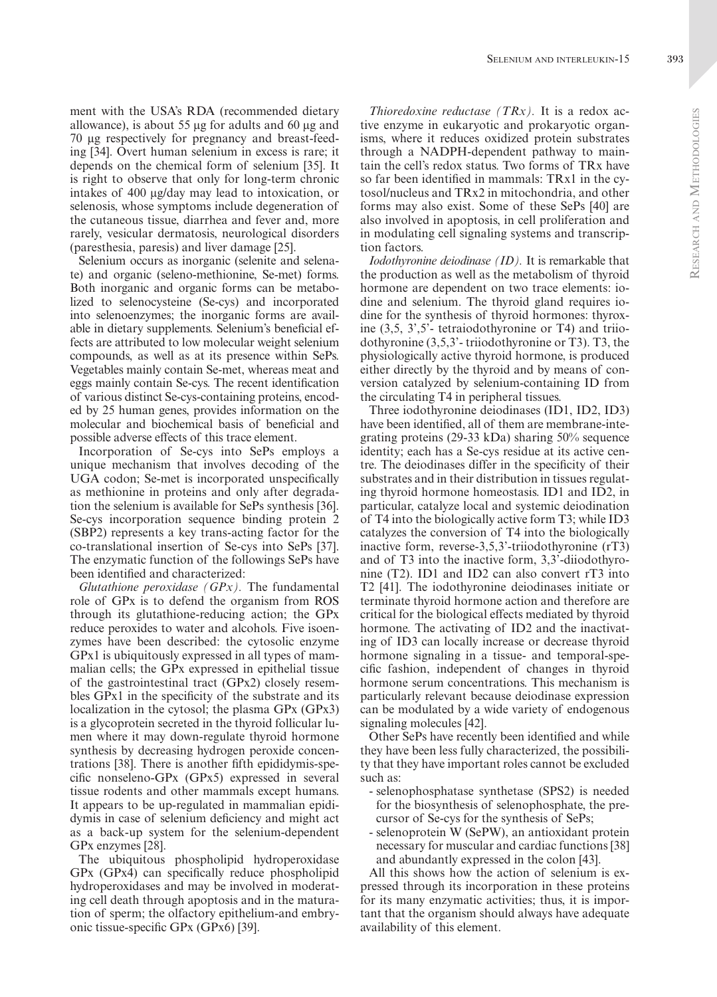ment with the USA's RDA (recommended dietary allowance), is about 55 μg for adults and 60 μg and 70 μg respectively for pregnancy and breast-feeding [34]. Overt human selenium in excess is rare; it depends on the chemical form of selenium [35]. It is right to observe that only for long-term chronic intakes of 400 μg/day may lead to intoxication, or selenosis, whose symptoms include degeneration of the cutaneous tissue, diarrhea and fever and, more rarely, vesicular dermatosis, neurological disorders (paresthesia, paresis) and liver damage [25].

Selenium occurs as inorganic (selenite and selenate) and organic (seleno-methionine, Se-met) forms. Both inorganic and organic forms can be metabolized to selenocysteine (Se-cys) and incorporated into selenoenzymes; the inorganic forms are available in dietary supplements. Selenium's beneficial effects are attributed to low molecular weight selenium compounds, as well as at its presence within SePs. Vegetables mainly contain Se-met, whereas meat and eggs mainly contain Se-cys. The recent identification of various distinct Se-cys-containing proteins, encoded by 25 human genes, provides information on the molecular and biochemical basis of beneficial and possible adverse effects of this trace element.

Incorporation of Se-cys into SePs employs a unique mechanism that involves decoding of the UGA codon; Se-met is incorporated unspecifically as methionine in proteins and only after degradation the selenium is available for SePs synthesis [36]. Se-cys incorporation sequence binding protein 2 (SBP2) represents a key trans-acting factor for the co-translational insertion of Se-cys into SePs [37]. The enzymatic function of the followings SePs have been identified and characterized:

*Glutathione peroxidase (GPx).* The fundamental role of GPx is to defend the organism from ROS through its glutathione-reducing action; the GPx reduce peroxides to water and alcohols. Five isoenzymes have been described: the cytosolic enzyme GPx1 is ubiquitously expressed in all types of mammalian cells; the GPx expressed in epithelial tissue of the gastrointestinal tract (GPx2) closely resembles GPx1 in the specificity of the substrate and its localization in the cytosol; the plasma GPx (GPx3) is a glycoprotein secreted in the thyroid follicular lumen where it may down-regulate thyroid hormone synthesis by decreasing hydrogen peroxide concentrations [38]. There is another fifth epididymis-specific nonseleno-GPx (GPx5) expressed in several tissue rodents and other mammals except humans. It appears to be up-regulated in mammalian epididymis in case of selenium deficiency and might act as a back-up system for the selenium-dependent GPx enzymes [28].

The ubiquitous phospholipid hydroperoxidase GPx (GPx4) can specifically reduce phospholipid hydroperoxidases and may be involved in moderating cell death through apoptosis and in the maturation of sperm; the olfactory epithelium-and embryonic tissue-specific GPx (GPx6) [39].

*Thioredoxine reductase (TRx).* It is a redox active enzyme in eukaryotic and prokaryotic organisms, where it reduces oxidized protein substrates through a NADPH-dependent pathway to maintain the cell's redox status. Two forms of TRx have so far been identified in mammals: TRx1 in the cytosol/nucleus and TRx2 in mitochondria, and other forms may also exist. Some of these SePs [40] are also involved in apoptosis, in cell proliferation and in modulating cell signaling systems and transcription factors.

*Iodothyronine deiodinase (ID).* It is remarkable that the production as well as the metabolism of thyroid hormone are dependent on two trace elements: iodine and selenium. The thyroid gland requires iodine for the synthesis of thyroid hormones: thyroxine (3,5, 3',5'- tetraiodothyronine or T4) and triiodothyronine (3,5,3'- triiodothyronine or T3). T3, the physiologically active thyroid hormone, is produced either directly by the thyroid and by means of conversion catalyzed by selenium-containing ID from the circulating T4 in peripheral tissues.

Three iodothyronine deiodinases (ID1, ID2, ID3) have been identified, all of them are membrane-integrating proteins (29-33 kDa) sharing 50% sequence identity; each has a Se-cys residue at its active centre. The deiodinases differ in the specificity of their substrates and in their distribution in tissues regulating thyroid hormone homeostasis. ID1 and ID2, in particular, catalyze local and systemic deiodination of T4 into the biologically active form T3; while ID3 catalyzes the conversion of T4 into the biologically inactive form, reverse-3,5,3'-triiodothyronine (rT3) and of T3 into the inactive form, 3,3'-diiodothyronine (T2). ID1 and ID2 can also convert rT3 into T2 [41]. The iodothyronine deiodinases initiate or terminate thyroid hormone action and therefore are critical for the biological effects mediated by thyroid hormone. The activating of ID2 and the inactivating of ID3 can locally increase or decrease thyroid hormone signaling in a tissue- and temporal-specific fashion, independent of changes in thyroid hormone serum concentrations. This mechanism is particularly relevant because deiodinase expression can be modulated by a wide variety of endogenous signaling molecules [42].

Other SePs have recently been identified and while they have been less fully characterized, the possibility that they have important roles cannot be excluded such as:

- selenophosphatase synthetase (SPS2) is needed for the biosynthesis of selenophosphate, the precursor of Se-cys for the synthesis of SePs;
- selenoprotein W (SePW), an antioxidant protein necessary for muscular and cardiac functions [38] and abundantly expressed in the colon [43].

All this shows how the action of selenium is expressed through its incorporation in these proteins for its many enzymatic activities; thus, it is important that the organism should always have adequate availability of this element.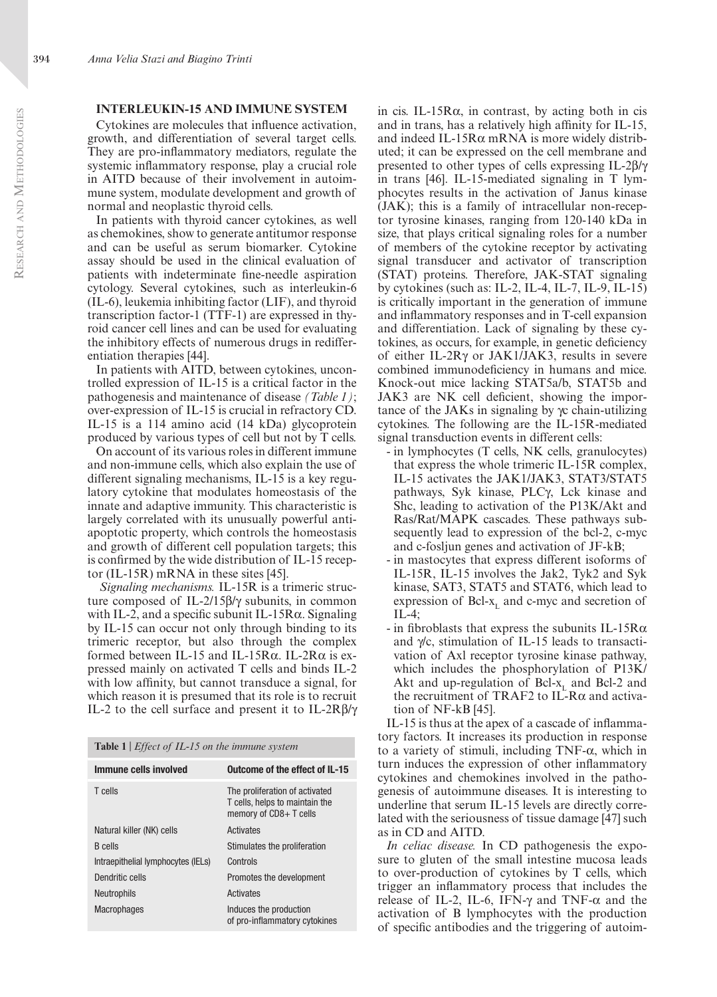## **Interleukin-15 and immune system**

Cytokines are molecules that influence activation, growth, and differentiation of several target cells. They are pro-inflammatory mediators, regulate the systemic inflammatory response, play a crucial role in AITD because of their involvement in autoimmune system, modulate development and growth of normal and neoplastic thyroid cells.

In patients with thyroid cancer cytokines, as well as chemokines, show to generate antitumor response and can be useful as serum biomarker. Cytokine assay should be used in the clinical evaluation of patients with indeterminate fine-needle aspiration cytology. Several cytokines, such as interleukin-6 (IL-6), leukemia inhibiting factor (LIF), and thyroid transcription factor-1 (TTF-1) are expressed in thyroid cancer cell lines and can be used for evaluating the inhibitory effects of numerous drugs in redifferentiation therapies [44].

In patients with AITD, between cytokines, uncontrolled expression of IL-15 is a critical factor in the pathogenesis and maintenance of disease *(Table 1)*; over-expression of IL-15 is crucial in refractory CD. IL-15 is a 114 amino acid (14 kDa) glycoprotein produced by various types of cell but not by T cells.

On account of its various roles in different immune and non-immune cells, which also explain the use of different signaling mechanisms, IL-15 is a key regulatory cytokine that modulates homeostasis of the innate and adaptive immunity. This characteristic is largely correlated with its unusually powerful antiapoptotic property, which controls the homeostasis and growth of different cell population targets; this is confirmed by the wide distribution of IL-15 receptor (IL-15R) mRNA in these sites [45].

 *Signaling mechanisms.* IL-15R is a trimeric structure composed of IL-2/15β/γ subunits, in common with IL-2, and a specific subunit IL-15R $\alpha$ . Signaling by IL-15 can occur not only through binding to its trimeric receptor, but also through the complex formed between IL-15 and IL-15 $R\alpha$ . IL-2 $R\alpha$  is expressed mainly on activated T cells and binds IL-2 with low affinity, but cannot transduce a signal, for which reason it is presumed that its role is to recruit IL-2 to the cell surface and present it to IL-2Rβ/γ

| Table 1   $Effect of IL-15$ on the immune system |  |  |
|--------------------------------------------------|--|--|
|--------------------------------------------------|--|--|

| Immune cells involved              | Outcome of the effect of IL-15                                                             |
|------------------------------------|--------------------------------------------------------------------------------------------|
| T cells                            | The proliferation of activated<br>T cells, helps to maintain the<br>memory of CD8+ T cells |
| Natural killer (NK) cells          | Activates                                                                                  |
| <b>B</b> cells                     | Stimulates the proliferation                                                               |
| Intraepithelial lymphocytes (IELs) | Controls                                                                                   |
| Dendritic cells                    | Promotes the development                                                                   |
| <b>Neutrophils</b>                 | Activates                                                                                  |
| <b>Macrophages</b>                 | Induces the production<br>of pro-inflammatory cytokines                                    |

in cis. IL-15 $R\alpha$ , in contrast, by acting both in cis and in trans, has a relatively high affinity for IL-15, and indeed IL-15 $R\alpha$  mRNA is more widely distributed; it can be expressed on the cell membrane and presented to other types of cells expressing IL-2β/γ in trans [46]. IL-15-mediated signaling in T lymphocytes results in the activation of Janus kinase (JAK); this is a family of intracellular non-receptor tyrosine kinases, ranging from 120-140 kDa in size, that plays critical signaling roles for a number of members of the cytokine receptor by activating signal transducer and activator of transcription (STAT) proteins. Therefore, JAK-STAT signaling by cytokines (such as: IL-2, IL-4, IL-7, IL-9, IL-15) is critically important in the generation of immune and inflammatory responses and in T-cell expansion and differentiation. Lack of signaling by these cytokines, as occurs, for example, in genetic deficiency of either IL-2Rγ or JAK1/JAK3, results in severe combined immunodeficiency in humans and mice. Knock-out mice lacking STAT5a/b, STAT5b and JAK3 are NK cell deficient, showing the importance of the JAKs in signaling by γc chain-utilizing cytokines. The following are the IL-15R-mediated signal transduction events in different cells:

- in lymphocytes (T cells, NK cells, granulocytes) that express the whole trimeric IL-15R complex, IL-15 activates the JAK1/JAK3, STAT3/STAT5 pathways, Syk kinase, PLCγ, Lck kinase and Shc, leading to activation of the P13K/Akt and Ras/Rat/MAPK cascades. These pathways subsequently lead to expression of the bcl-2, c-myc and c-fosljun genes and activation of JF-kB;
- in mastocytes that express different isoforms of IL-15R, IL-15 involves the Jak2, Tyk2 and Syk kinase, SAT3, STAT5 and STAT6, which lead to expression of Bcl- $x<sub>r</sub>$  and c-myc and secretion of IL-4;
- in fibroblasts that express the subunits IL-15 $R\alpha$ and γ/c, stimulation of IL-15 leads to transactivation of Axl receptor tyrosine kinase pathway, which includes the phosphorylation of P13K/ Akt and up-regulation of Bcl- $x<sub>L</sub>$  and Bcl-2 and the recruitment of TRAF2 to IL-Rα and activation of NF-kB [45].

IL-15 is thus at the apex of a cascade of inflammatory factors. It increases its production in response to a variety of stimuli, including TNF-α, which in turn induces the expression of other inflammatory cytokines and chemokines involved in the pathogenesis of autoimmune diseases. It is interesting to underline that serum IL-15 levels are directly correlated with the seriousness of tissue damage [47] such as in CD and AITD.

*In celiac disease.* In CD pathogenesis the exposure to gluten of the small intestine mucosa leads to over-production of cytokines by T cells, which trigger an inflammatory process that includes the release of IL-2, IL-6, IFN-γ and TNF- $\alpha$  and the activation of B lymphocytes with the production of specific antibodies and the triggering of autoim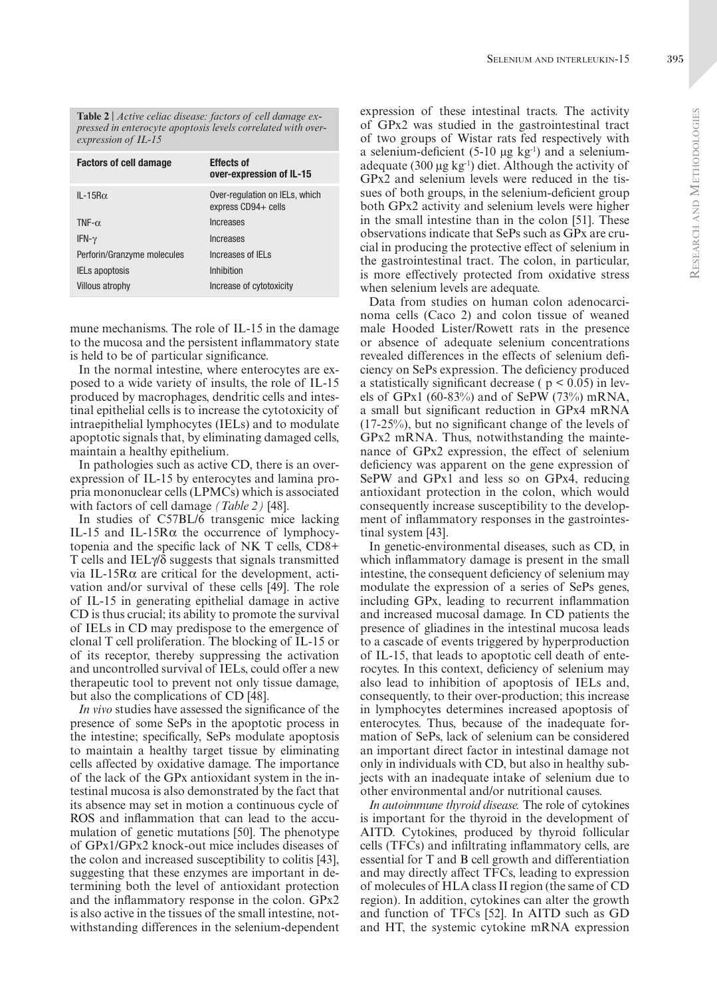**Table 2** | *Active celiac disease: factors of cell damage expressed in enterocyte apoptosis levels correlated with overexpression of IL-15*

| <b>Factors of cell damage</b> | <b>Effects of</b><br>over-expression of IL-15         |
|-------------------------------|-------------------------------------------------------|
| $IL - 15R\alpha$              | Over-regulation on IELs, which<br>express CD94+ cells |
| TNF- $\alpha$                 | Increases                                             |
| IFN- $\gamma$                 | Increases                                             |
| Perforin/Granzyme molecules   | Increases of IFI s                                    |
| <b>IELs apoptosis</b>         | Inhibition                                            |
| <b>Villous atrophy</b>        | Increase of cytotoxicity                              |

mune mechanisms. The role of IL-15 in the damage to the mucosa and the persistent inflammatory state is held to be of particular significance.

In the normal intestine, where enterocytes are exposed to a wide variety of insults, the role of IL-15 produced by macrophages, dendritic cells and intestinal epithelial cells is to increase the cytotoxicity of intraepithelial lymphocytes (IELs) and to modulate apoptotic signals that, by eliminating damaged cells, maintain a healthy epithelium.

In pathologies such as active CD, there is an overexpression of IL-15 by enterocytes and lamina propria mononuclear cells (LPMCs) which is associated with factors of cell damage *(Table 2)* [48].

In studies of C57BL/6 transgenic mice lacking IL-15 and IL-15Rα the occurrence of lymphocytopenia and the specific lack of NK T cells, CD8+ T cells and IELγ/δ suggests that signals transmitted via IL-15Rα are critical for the development, activation and/or survival of these cells [49]. The role of IL-15 in generating epithelial damage in active CD is thus crucial; its ability to promote the survival of IELs in CD may predispose to the emergence of clonal T cell proliferation. The blocking of IL-15 or of its receptor, thereby suppressing the activation and uncontrolled survival of IELs, could offer a new therapeutic tool to prevent not only tissue damage, but also the complications of CD [48].

*In vivo* studies have assessed the significance of the presence of some SePs in the apoptotic process in the intestine; specifically, SePs modulate apoptosis to maintain a healthy target tissue by eliminating cells affected by oxidative damage. The importance of the lack of the GPx antioxidant system in the intestinal mucosa is also demonstrated by the fact that its absence may set in motion a continuous cycle of ROS and inflammation that can lead to the accumulation of genetic mutations [50]. The phenotype of GPx1/GPx2 knock-out mice includes diseases of the colon and increased susceptibility to colitis [43], suggesting that these enzymes are important in determining both the level of antioxidant protection and the inflammatory response in the colon. GPx2 is also active in the tissues of the small intestine, notwithstanding differences in the selenium-dependent

expression of these intestinal tracts. The activity of GPx2 was studied in the gastrointestinal tract of two groups of Wistar rats fed respectively with a selenium-deficient  $(5-10 \mu g kg^{-1})$  and a seleniumadequate (300  $\mu$ g kg<sup>-1</sup>) diet. Although the activity of GPx2 and selenium levels were reduced in the tissues of both groups, in the selenium-deficient group both GPx2 activity and selenium levels were higher in the small intestine than in the colon [51]. These observations indicate that SePs such as GPx are crucial in producing the protective effect of selenium in the gastrointestinal tract. The colon, in particular, is more effectively protected from oxidative stress when selenium levels are adequate.

Data from studies on human colon adenocarcinoma cells (Caco 2) and colon tissue of weaned male Hooded Lister/Rowett rats in the presence or absence of adequate selenium concentrations revealed differences in the effects of selenium deficiency on SePs expression. The deficiency produced a statistically significant decrease ( $p < 0.05$ ) in levels of GPx1 (60-83%) and of SePW (73%) mRNA, a small but significant reduction in GPx4 mRNA (17-25%), but no significant change of the levels of GPx2 mRNA. Thus, notwithstanding the maintenance of GPx2 expression, the effect of selenium deficiency was apparent on the gene expression of SePW and GPx1 and less so on GPx4, reducing antioxidant protection in the colon, which would consequently increase susceptibility to the development of inflammatory responses in the gastrointestinal system [43].

In genetic-environmental diseases, such as CD, in which inflammatory damage is present in the small intestine, the consequent deficiency of selenium may modulate the expression of a series of SePs genes, including GPx, leading to recurrent inflammation and increased mucosal damage. In CD patients the presence of gliadines in the intestinal mucosa leads to a cascade of events triggered by hyperproduction of IL-15, that leads to apoptotic cell death of enterocytes. In this context, deficiency of selenium may also lead to inhibition of apoptosis of IELs and, consequently, to their over-production; this increase in lymphocytes determines increased apoptosis of enterocytes. Thus, because of the inadequate formation of SePs, lack of selenium can be considered an important direct factor in intestinal damage not only in individuals with CD, but also in healthy subjects with an inadequate intake of selenium due to other environmental and/or nutritional causes.

*In autoimmune thyroid disease.* The role of cytokines is important for the thyroid in the development of AITD. Cytokines, produced by thyroid follicular cells (TFCs) and infiltrating inflammatory cells, are essential for T and B cell growth and differentiation and may directly affect TFCs, leading to expression of molecules of HLA class II region (the same of CD region). In addition, cytokines can alter the growth and function of TFCs [52]. In AITD such as GD and HT, the systemic cytokine mRNA expression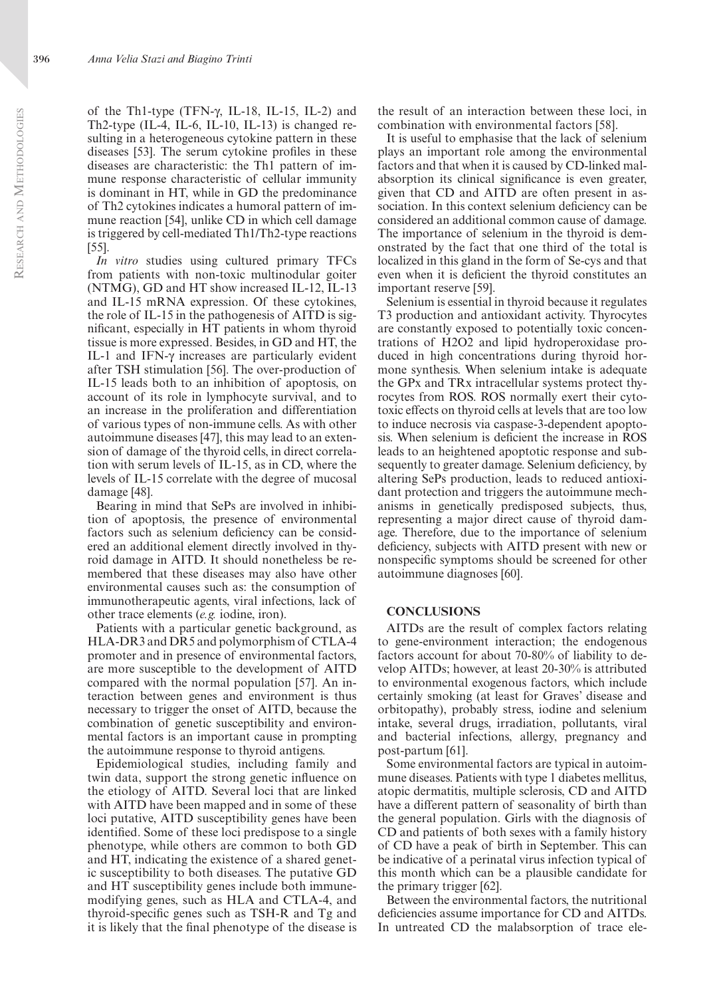of the Th1-type (TFN-γ, IL-18, IL-15, IL-2) and Th2-type (IL-4, IL-6, IL-10, IL-13) is changed resulting in a heterogeneous cytokine pattern in these diseases [53]. The serum cytokine profiles in these diseases are characteristic: the Th1 pattern of immune response characteristic of cellular immunity is dominant in HT, while in GD the predominance of Th2 cytokines indicates a humoral pattern of immune reaction [54], unlike CD in which cell damage is triggered by cell-mediated Th1/Th2-type reactions [55].

*In vitro* studies using cultured primary TFCs from patients with non-toxic multinodular goiter (NTMG), GD and HT show increased IL-12, IL-13 and IL-15 mRNA expression. Of these cytokines, the role of IL-15 in the pathogenesis of AITD is significant, especially in HT patients in whom thyroid tissue is more expressed. Besides, in GD and HT, the IL-1 and IFN-γ increases are particularly evident after TSH stimulation [56]. The over-production of IL-15 leads both to an inhibition of apoptosis, on account of its role in lymphocyte survival, and to an increase in the proliferation and differentiation of various types of non-immune cells. As with other autoimmune diseases [47], this may lead to an extension of damage of the thyroid cells, in direct correlation with serum levels of IL-15, as in CD, where the levels of IL-15 correlate with the degree of mucosal damage [48].

Bearing in mind that SePs are involved in inhibition of apoptosis, the presence of environmental factors such as selenium deficiency can be considered an additional element directly involved in thyroid damage in AITD. It should nonetheless be remembered that these diseases may also have other environmental causes such as: the consumption of immunotherapeutic agents, viral infections, lack of other trace elements (*e.g.* iodine, iron).

Patients with a particular genetic background, as HLA-DR3 and DR5 and polymorphism of CTLA-4 promoter and in presence of environmental factors, are more susceptible to the development of AITD compared with the normal population [57]. An interaction between genes and environment is thus necessary to trigger the onset of AITD, because the combination of genetic susceptibility and environmental factors is an important cause in prompting the autoimmune response to thyroid antigens.

Epidemiological studies, including family and twin data, support the strong genetic influence on the etiology of AITD. Several loci that are linked with AITD have been mapped and in some of these loci putative, AITD susceptibility genes have been identified. Some of these loci predispose to a single phenotype, while others are common to both GD and HT, indicating the existence of a shared genetic susceptibility to both diseases. The putative GD and HT susceptibility genes include both immunemodifying genes, such as HLA and CTLA-4, and thyroid-specific genes such as TSH-R and Tg and it is likely that the final phenotype of the disease is

the result of an interaction between these loci, in combination with environmental factors [58].

It is useful to emphasise that the lack of selenium plays an important role among the environmental factors and that when it is caused by CD-linked malabsorption its clinical significance is even greater, given that CD and AITD are often present in association. In this context selenium deficiency can be considered an additional common cause of damage. The importance of selenium in the thyroid is demonstrated by the fact that one third of the total is localized in this gland in the form of Se-cys and that even when it is deficient the thyroid constitutes an important reserve [59].

Selenium is essential in thyroid because it regulates T3 production and antioxidant activity. Thyrocytes are constantly exposed to potentially toxic concentrations of H2O2 and lipid hydroperoxidase produced in high concentrations during thyroid hormone synthesis. When selenium intake is adequate the GPx and TRx intracellular systems protect thyrocytes from ROS. ROS normally exert their cytotoxic effects on thyroid cells at levels that are too low to induce necrosis via caspase-3-dependent apoptosis. When selenium is deficient the increase in ROS leads to an heightened apoptotic response and subsequently to greater damage. Selenium deficiency, by altering SePs production, leads to reduced antioxidant protection and triggers the autoimmune mechanisms in genetically predisposed subjects, thus, representing a major direct cause of thyroid damage. Therefore, due to the importance of selenium deficiency, subjects with AITD present with new or nonspecific symptoms should be screened for other autoimmune diagnoses [60].

# **CONCLUSIONS**

AITDs are the result of complex factors relating to gene-environment interaction; the endogenous factors account for about 70-80% of liability to develop AITDs; however, at least 20-30% is attributed to environmental exogenous factors, which include certainly smoking (at least for Graves' disease and orbitopathy), probably stress, iodine and selenium intake, several drugs, irradiation, pollutants, viral and bacterial infections, allergy, pregnancy and post-partum [61].

Some environmental factors are typical in autoimmune diseases. Patients with type 1 diabetes mellitus, atopic dermatitis, multiple sclerosis, CD and AITD have a different pattern of seasonality of birth than the general population. Girls with the diagnosis of CD and patients of both sexes with a family history of CD have a peak of birth in September. This can be indicative of a perinatal virus infection typical of this month which can be a plausible candidate for the primary trigger [62].

Between the environmental factors, the nutritional deficiencies assume importance for CD and AITDs. In untreated CD the malabsorption of trace ele-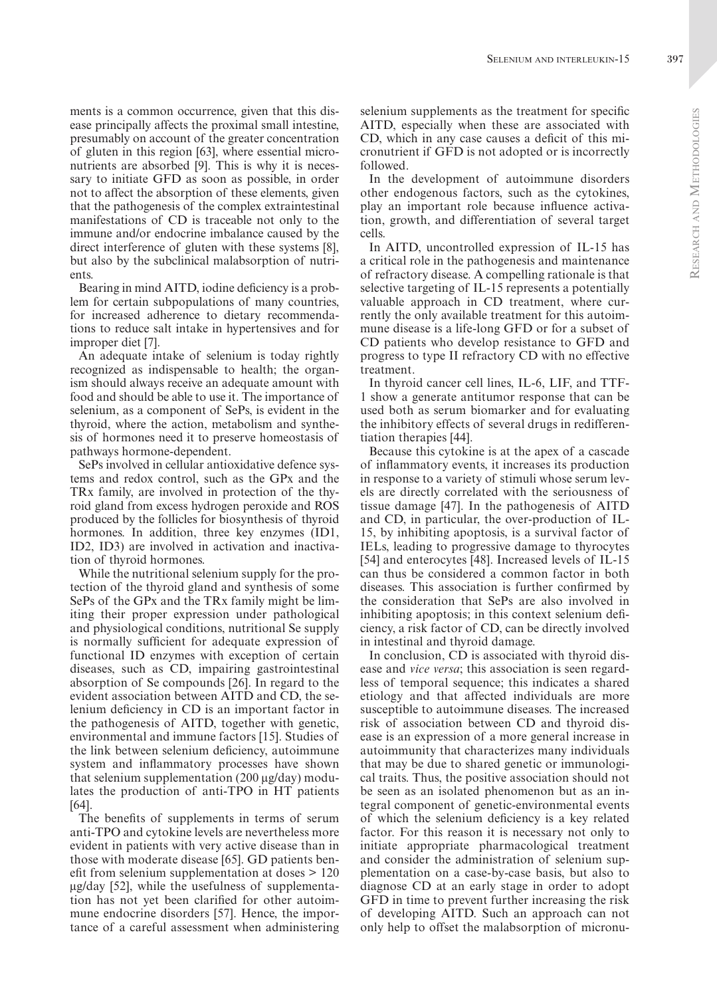ments is a common occurrence, given that this disease principally affects the proximal small intestine, presumably on account of the greater concentration of gluten in this region [63], where essential micronutrients are absorbed [9]. This is why it is necessary to initiate GFD as soon as possible, in order not to affect the absorption of these elements, given that the pathogenesis of the complex extraintestinal manifestations of CD is traceable not only to the immune and/or endocrine imbalance caused by the direct interference of gluten with these systems [8], but also by the subclinical malabsorption of nutrients.

Bearing in mind AITD, iodine deficiency is a problem for certain subpopulations of many countries, for increased adherence to dietary recommendations to reduce salt intake in hypertensives and for improper diet [7].

An adequate intake of selenium is today rightly recognized as indispensable to health; the organism should always receive an adequate amount with food and should be able to use it. The importance of selenium, as a component of SePs, is evident in the thyroid, where the action, metabolism and synthesis of hormones need it to preserve homeostasis of pathways hormone-dependent.

SePs involved in cellular antioxidative defence systems and redox control, such as the GPx and the TRx family, are involved in protection of the thyroid gland from excess hydrogen peroxide and ROS produced by the follicles for biosynthesis of thyroid hormones. In addition, three key enzymes (ID1, ID2, ID3) are involved in activation and inactivation of thyroid hormones.

While the nutritional selenium supply for the protection of the thyroid gland and synthesis of some SePs of the GPx and the TRx family might be limiting their proper expression under pathological and physiological conditions, nutritional Se supply is normally sufficient for adequate expression of functional ID enzymes with exception of certain diseases, such as CD, impairing gastrointestinal absorption of Se compounds [26]. In regard to the evident association between AITD and CD, the selenium deficiency in CD is an important factor in the pathogenesis of AITD, together with genetic, environmental and immune factors [15]. Studies of the link between selenium deficiency, autoimmune system and inflammatory processes have shown that selenium supplementation (200 μg/day) modulates the production of anti-TPO in HT patients [64].

The benefits of supplements in terms of serum anti-TPO and cytokine levels are nevertheless more evident in patients with very active disease than in those with moderate disease [65]. GD patients benefit from selenium supplementation at doses > 120 μg/day [52], while the usefulness of supplementation has not yet been clarified for other autoimmune endocrine disorders [57]. Hence, the importance of a careful assessment when administering selenium supplements as the treatment for specific AITD, especially when these are associated with CD, which in any case causes a deficit of this micronutrient if GFD is not adopted or is incorrectly followed.

In the development of autoimmune disorders other endogenous factors, such as the cytokines, play an important role because influence activation, growth, and differentiation of several target cells.

In AITD, uncontrolled expression of IL-15 has a critical role in the pathogenesis and maintenance of refractory disease. A compelling rationale is that selective targeting of IL-15 represents a potentially valuable approach in CD treatment, where currently the only available treatment for this autoimmune disease is a life-long GFD or for a subset of CD patients who develop resistance to GFD and progress to type II refractory CD with no effective treatment.

In thyroid cancer cell lines, IL-6, LIF, and TTF-1 show a generate antitumor response that can be used both as serum biomarker and for evaluating the inhibitory effects of several drugs in redifferentiation therapies [44].

Because this cytokine is at the apex of a cascade of inflammatory events, it increases its production in response to a variety of stimuli whose serum levels are directly correlated with the seriousness of tissue damage [47]. In the pathogenesis of AITD and CD, in particular, the over-production of IL-15, by inhibiting apoptosis, is a survival factor of IELs, leading to progressive damage to thyrocytes [54] and enterocytes [48]. Increased levels of IL-15 can thus be considered a common factor in both diseases. This association is further confirmed by the consideration that SePs are also involved in inhibiting apoptosis; in this context selenium deficiency, a risk factor of CD, can be directly involved in intestinal and thyroid damage.

In conclusion, CD is associated with thyroid disease and *vice versa*; this association is seen regardless of temporal sequence; this indicates a shared etiology and that affected individuals are more susceptible to autoimmune diseases. The increased risk of association between CD and thyroid disease is an expression of a more general increase in autoimmunity that characterizes many individuals that may be due to shared genetic or immunological traits. Thus, the positive association should not be seen as an isolated phenomenon but as an integral component of genetic-environmental events of which the selenium deficiency is a key related factor. For this reason it is necessary not only to initiate appropriate pharmacological treatment and consider the administration of selenium supplementation on a case-by-case basis, but also to diagnose CD at an early stage in order to adopt GFD in time to prevent further increasing the risk of developing AITD. Such an approach can not only help to offset the malabsorption of micronu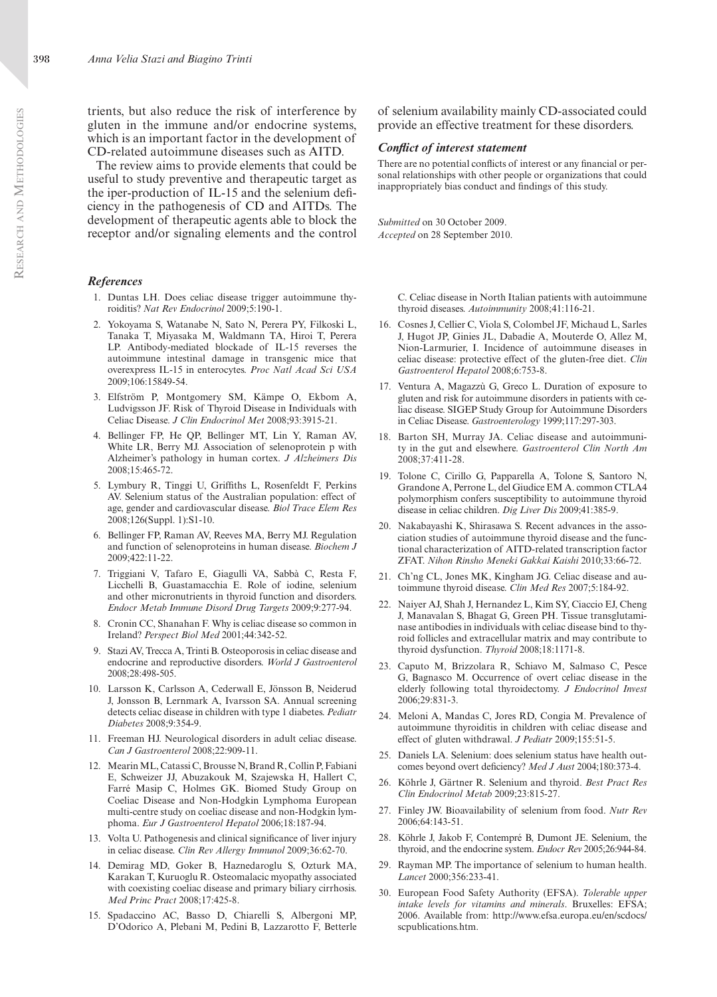trients, but also reduce the risk of interference by gluten in the immune and/or endocrine systems, which is an important factor in the development of CD-related autoimmune diseases such as AITD.

The review aims to provide elements that could be useful to study preventive and therapeutic target as the iper-production of IL-15 and the selenium deficiency in the pathogenesis of CD and AITDs. The development of therapeutic agents able to block the receptor and/or signaling elements and the control

#### *References*

- 1. Duntas LH. Does celiac disease trigger autoimmune thyroiditis? *Nat Rev Endocrinol* 2009;5:190-1.
- 2. Yokoyama S, Watanabe N, Sato N, Perera PY, Filkoski L, Tanaka T, Miyasaka M, Waldmann TA, Hiroi T, Perera LP. Antibody-mediated blockade of IL-15 reverses the autoimmune intestinal damage in transgenic mice that overexpress IL-15 in enterocytes. *Proc Natl Acad Sci USA* 2009;106:15849-54.
- 3. Elfström P, Montgomery SM, Kämpe O, Ekbom A, Ludvigsson JF. Risk of Thyroid Disease in Individuals with Celiac Disease. *J Clin Endocrinol Met* 2008;93:3915-21.
- 4. Bellinger FP, He QP, Bellinger MT, Lin Y, Raman AV, White LR, Berry MJ. Association of selenoprotein p with Alzheimer's pathology in human cortex. *J Alzheimers Dis*  2008;15:465-72.
- 5. Lymbury R, Tinggi U, Griffiths L, Rosenfeldt F, Perkins AV. Selenium status of the Australian population: effect of age, gender and cardiovascular disease. *Biol Trace Elem Res* 2008;126(Suppl. 1):S1-10.
- 6. Bellinger FP, Raman AV, Reeves MA, Berry MJ. Regulation and function of selenoproteins in human disease. *Biochem J* 2009;422:11-22.
- 7. Triggiani V, Tafaro E, Giagulli VA, Sabbà C, Resta F, Licchelli B, Guastamacchia E. Role of iodine, selenium and other micronutrients in thyroid function and disorders. *Endocr Metab Immune Disord Drug Targets* 2009;9:277-94.
- 8. Cronin CC, Shanahan F. Why is celiac disease so common in Ireland? *Perspect Biol Med* 2001;44:342-52.
- 9. Stazi AV, Trecca A, Trinti B. Osteoporosis in celiac disease and endocrine and reproductive disorders. *World J Gastroenterol* 2008;28:498-505.
- 10. Larsson K, Carlsson A, Cederwall E, Jönsson B, Neiderud J, Jonsson B, Lernmark A, Ivarsson SA. Annual screening detects celiac disease in children with type 1 diabetes. *Pediatr Diabetes* 2008;9:354-9.
- 11. Freeman HJ. Neurological disorders in adult celiac disease. *Can J Gastroenterol* 2008;22:909-11.
- 12. Mearin ML, Catassi C, Brousse N, Brand R, Collin P, Fabiani E, Schweizer JJ, Abuzakouk M, Szajewska H, Hallert C, Farré Masip C, Holmes GK. Biomed Study Group on Coeliac Disease and Non-Hodgkin Lymphoma European multi-centre study on coeliac disease and non-Hodgkin lymphoma. *Eur J Gastroenterol Hepatol* 2006;18:187-94.
- 13. Volta U. Pathogenesis and clinical significance of liver injury in celiac disease. *Clin Rev Allergy Immunol* 2009;36:62-70.
- 14. Demirag MD, Goker B, Haznedaroglu S, Ozturk MA, Karakan T, Kuruoglu R. Osteomalacic myopathy associated with coexisting coeliac disease and primary biliary cirrhosis. *Med Princ Pract* 2008;17:425-8.
- 15. Spadaccino AC, Basso D, Chiarelli S, Albergoni MP, D'Odorico A, Plebani M, Pedini B, Lazzarotto F, Betterle

of selenium availability mainly CD-associated could provide an effective treatment for these disorders.

#### *Conflict of interest statement*

There are no potential conflicts of interest or any financial or personal relationships with other people or organizations that could inappropriately bias conduct and findings of this study.

*Submitted* on 30 October 2009. *Accepted* on 28 September 2010.

> C. Celiac disease in North Italian patients with autoimmune thyroid diseases. *Autoimmunity* 2008;41:116-21.

- 16. Cosnes J, Cellier C, Viola S, Colombel JF, Michaud L, Sarles J, Hugot JP, Ginies JL, Dabadie A, Mouterde O, Allez M, Nion-Larmurier, I. Incidence of autoimmune diseases in celiac disease: protective effect of the gluten-free diet. *Clin Gastroenterol Hepatol* 2008;6:753-8.
- 17. Ventura A, Magazzù G, Greco L. Duration of exposure to gluten and risk for autoimmune disorders in patients with celiac disease. SIGEP Study Group for Autoimmune Disorders in Celiac Disease. *Gastroenterology* 1999;117:297-303.
- 18. Barton SH, Murray JA. Celiac disease and autoimmunity in the gut and elsewhere. *Gastroenterol Clin North Am*  2008;37:411-28.
- 19. Tolone C, Cirillo G, Papparella A, Tolone S, Santoro N, Grandone A, Perrone L, del Giudice EM A. common CTLA4 polymorphism confers susceptibility to autoimmune thyroid disease in celiac children. *Dig Liver Dis* 2009;41:385-9.
- 20. Nakabayashi K, Shirasawa S. Recent advances in the association studies of autoimmune thyroid disease and the functional characterization of AITD-related transcription factor ZFAT. *Nihon Rinsho Meneki Gakkai Kaishi* 2010;33:66-72.
- 21. Ch'ng CL, Jones MK, Kingham JG. Celiac disease and autoimmune thyroid disease. *Clin Med Res* 2007;5:184-92.
- 22. Naiyer AJ, Shah J, Hernandez L, Kim SY, Ciaccio EJ, Cheng J, Manavalan S, Bhagat G, Green PH. Tissue transglutaminase antibodies in individuals with celiac disease bind to thyroid follicles and extracellular matrix and may contribute to thyroid dysfunction. *Thyroid* 2008;18:1171-8.
- 23. Caputo M, Brizzolara R, Schiavo M, Salmaso C, Pesce G, Bagnasco M. Occurrence of overt celiac disease in the elderly following total thyroidectomy. *J Endocrinol Invest* 2006;29:831-3.
- 24. Meloni A, Mandas C, Jores RD, Congia M. Prevalence of autoimmune thyroiditis in children with celiac disease and effect of gluten withdrawal. *J Pediatr* 2009;155:51-5.
- 25. Daniels LA. Selenium: does selenium status have health outcomes beyond overt deficiency? *Med J Aust* 2004;180:373-4.
- 26. Köhrle J, Gärtner R. Selenium and thyroid. *Best Pract Res Clin Endocrinol Metab* 2009;23:815-27.
- 27. Finley JW. Bioavailability of selenium from food. *Nutr Rev*  2006;64:143-51.
- 28. Köhrle J, Jakob F, Contempré B, Dumont JE. Selenium, the thyroid, and the endocrine system. *Endocr Rev* 2005;26:944-84.
- 29. Rayman MP. The importance of selenium to human health. *Lancet* 2000;356:233-41.
- 30. European Food Safety Authority (EFSA). *Tolerable upper intake levels for vitamins and minerals*. Bruxelles: EFSA; 2006. Available from: http://www.efsa.europa.eu/en/scdocs/ scpublications.htm.